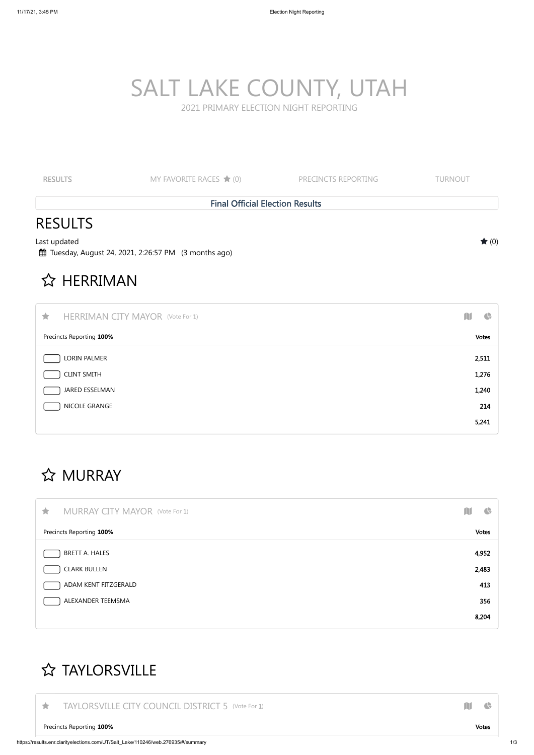| 大 | <b>MURRAY CITY MAYOR (Vote For 1)</b>             | ш | $\overline{\mathbf{G}}$ |  |
|---|---------------------------------------------------|---|-------------------------|--|
|   | Precincts Reporting 100%                          |   | Votes                   |  |
|   | BRETT A. HALES                                    |   | 4,952                   |  |
|   | $\int$ $C$ $I$ $A$ D $V$ $R$ $I$ $II$ $I$ $R$ $I$ |   | 2102                    |  |

| <b>RESULTS</b>                                                        | MY FAVORITE RACES $\bigstar$ (0)                      | PRECINCTS REPORTING | <b>TURNOUT</b>                   |
|-----------------------------------------------------------------------|-------------------------------------------------------|---------------------|----------------------------------|
|                                                                       | <b>Final Official Election Results</b>                |                     |                                  |
| <b>RESULTS</b><br>Last updated<br>☆ HERRIMAN                          | 的 Tuesday, August 24, 2021, 2:26:57 PM (3 months ago) |                     | $\bigstar(0)$                    |
| $\bigstar$<br>Precincts Reporting 100%                                | <b>HERRIMAN CITY MAYOR (Vote For 1)</b>               |                     | M<br>$\bigoplus$<br><b>Votes</b> |
| LORIN PALMER<br><b>CLINT SMITH</b><br>JARED ESSELMAN<br>NICOLE GRANGE |                                                       |                     | 2,511<br>1,276<br>1,240<br>214   |
|                                                                       |                                                       |                     | 5,241                            |

### **☆ MURRAY**

| <b>CLARK BULLEN</b>  | 2,483 |
|----------------------|-------|
| ADAM KENT FITZGERALD | 413   |
| ALEXANDER TEEMSMA    | 356   |
|                      | 8,204 |

#### **☆ TAYLORSVILLE**

TAYLORSVILLE CITY COUNCIL DISTRICT 5 (Vote For 1) **THE SET ON STATE OF STATE AND RELATIVE** 

Precincts Reporting **100%** Votes

# SALT LAKE COUNTY, UTAH

2021 PRIMARY ELECTION NIGHT REPORTING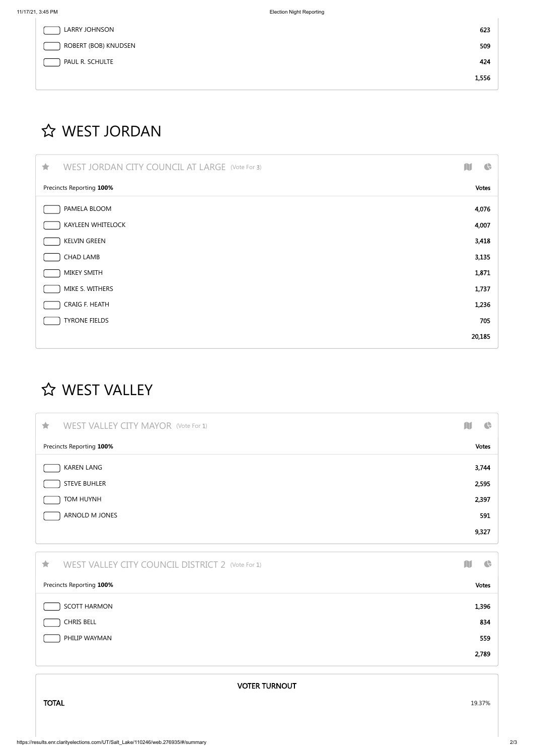| LARRY JOHNSON        | 623   |
|----------------------|-------|
| ROBERT (BOB) KNUDSEN | 509   |
| PAUL R. SCHULTE      | 424   |
|                      | 1,556 |

## **☆ WEST JORDAN**

| WEST JORDAN CITY COUNCIL AT LARGE (Vote For 3)<br>宜 | $\bigoplus$ |
|-----------------------------------------------------|-------------|
| Precincts Reporting 100%                            |             |
| PAMELA BLOOM                                        | 4,076       |
| <b>KAYLEEN WHITELOCK</b>                            | 4,007       |
| <b>KELVIN GREEN</b>                                 | 3,418       |
| <b>CHAD LAMB</b>                                    | 3,135       |
| MIKEY SMITH                                         | 1,871       |
| MIKE S. WITHERS                                     | 1,737       |
| CRAIG F. HEATH                                      | 1,236       |
| <b>TYRONE FIELDS</b>                                | 705         |
|                                                     | 20,185      |

## **☆ WEST VALLEY**

| <b>WEST VALLEY CITY MAYOR (Vote For 1)</b><br>宜 | $\bigoplus$<br>N |
|-------------------------------------------------|------------------|
| Precincts Reporting 100%                        | <b>Votes</b>     |
| <b>KAREN LANG</b>                               | 3,744            |
| <b>STEVE BUHLER</b>                             | 2,595            |
| TOM HUYNH                                       | 2,397            |
| ARNOLD M JONES                                  | 591              |
|                                                 | 9,327            |